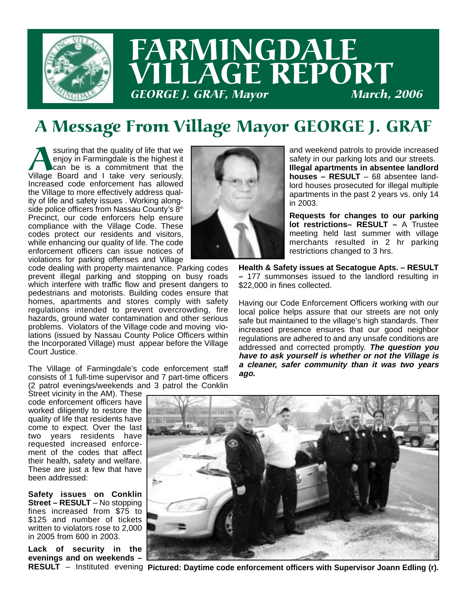

## FARMINGDALE LLAGE REPORT **GEORGE J. GRAF, Mayor**

### A Message From Village Mayor GEORGE J. GRAF

Suring that the quality of life that we<br>
enjoy in Farmingdale is the highest it<br>
Village Board and I take very seriously. enjoy in Farmingdale is the highest it can be is a commitment that the Increased code enforcement has allowed the Village to more effectively address quality of life and safety issues . Working alongside police officers from Nassau County's  $8<sup>th</sup>$ Precinct, our code enforcers help ensure compliance with the Village Code. These codes protect our residents and visitors, while enhancing our quality of life. The code enforcement officers can issue notices of violations for parking offenses and Village code dealing with property maintenance. Parking codes



and weekend patrols to provide increased safety in our parking lots and our streets. **Illegal apartments in absentee landlord houses – RESULT** – 68 absentee landlord houses prosecuted for illegal multiple apartments in the past 2 years vs. only 14 in 2003.

**Requests for changes to our parking lot restrictions– RESULT –** A Trustee meeting held last summer with village merchants resulted in 2 hr parking restrictions changed to 3 hrs.

**Health & Safety issues at Secatogue Apts. – RESULT –** 177 summonses issued to the landlord resulting in \$22,000 in fines collected.

Having our Code Enforcement Officers working with our local police helps assure that our streets are not only safe but maintained to the village's high standards. Their increased presence ensures that our good neighbor regulations are adhered to and any unsafe conditions are addressed and corrected promptly. **The question you have to ask yourself is whether or not the Village is a cleaner, safer community than it was two years ago.**

regulations intended to prevent overcrowding, fire hazards, ground water contamination and other serious problems. Violators of the Village code and moving violations (issued by Nassau County Police Officers within the Incorporated Village) must appear before the Village Court Justice.

prevent illegal parking and stopping on busy roads which interfere with traffic flow and present dangers to pedestrians and motorists. Building codes ensure that homes, apartments and stores comply with safety

The Village of Farmingdale's code enforcement staff consists of 1 full-time supervisor and 7 part-time officers (2 patrol evenings/weekends and 3 patrol the Conklin

Street vicinity in the AM). These code enforcement officers have worked diligently to restore the quality of life that residents have come to expect. Over the last two years residents have requested increased enforcement of the codes that affect their health, safety and welfare. These are just a few that have been addressed:

**Safety issues on Conklin Street – RESULT** – No stopping fines increased from \$75 to \$125 and number of tickets written to violators rose to 2,000 in 2005 from 600 in 2003.

**Lack of security in the evenings and on weekends –**



RESULT - Instituted evening Pictured: Daytime code enforcement officers with Supervisor Joann Edling (r).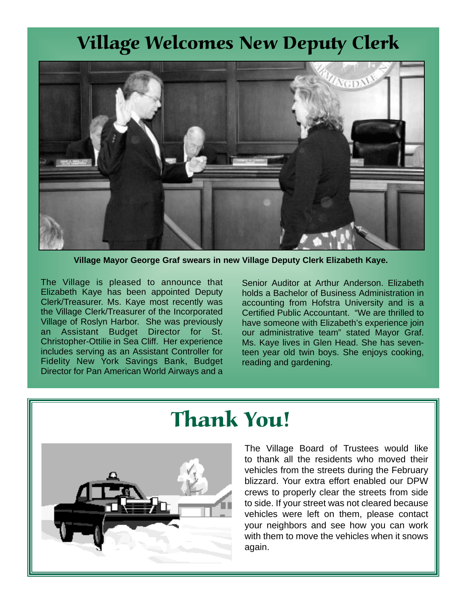#### Village Welcomes New Deputy Clerk



**Village Mayor George Graf swears in new Village Deputy Clerk Elizabeth Kaye.**

The Village is pleased to announce that Elizabeth Kaye has been appointed Deputy Clerk/Treasurer. Ms. Kaye most recently was the Village Clerk/Treasurer of the Incorporated Village of Roslyn Harbor. She was previously an Assistant Budget Director for St. Christopher-Ottilie in Sea Cliff. Her experience includes serving as an Assistant Controller for Fidelity New York Savings Bank, Budget Director for Pan American World Airways and a

Senior Auditor at Arthur Anderson. Elizabeth holds a Bachelor of Business Administration in accounting from Hofstra University and is a Certified Public Accountant. "We are thrilled to have someone with Elizabeth's experience join our administrative team" stated Mayor Graf. Ms. Kaye lives in Glen Head. She has seventeen year old twin boys. She enjoys cooking, reading and gardening.



### Thank You!

The Village Board of Trustees would like to thank all the residents who moved their vehicles from the streets during the February blizzard. Your extra effort enabled our DPW crews to properly clear the streets from side to side. If your street was not cleared because vehicles were left on them, please contact your neighbors and see how you can work with them to move the vehicles when it snows again.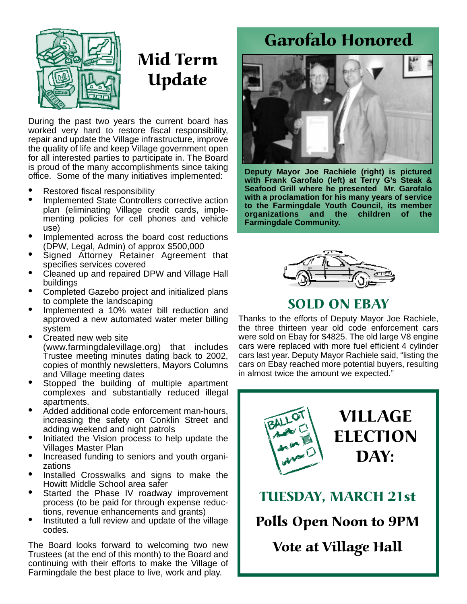#### Garofalo Honored



### Mid Term Update

During the past two years the current board has worked very hard to restore fiscal responsibility, repair and update the Village infrastructure, improve the quality of life and keep Village government open for all interested parties to participate in. The Board is proud of the many accomplishments since taking office. Some of the many initiatives implemented:

- Restored fiscal responsibility
- Implemented State Controllers corrective action plan (eliminating Village credit cards, implementing policies for cell phones and vehicle use)
- Implemented across the board cost reductions (DPW, Legal, Admin) of approx \$500,000
- Signed Attorney Retainer Agreement that specifies services covered
- Cleaned up and repaired DPW and Village Hall buildings
- Completed Gazebo project and initialized plans to complete the landscaping
- Implemented a 10% water bill reduction and approved a new automated water meter billing system
- Created new web site (www.farmingdalevillage.org) that includes Trustee meeting minutes dating back to 2002, copies of monthly newsletters, Mayors Columns and Village meeting dates
- Stopped the building of multiple apartment complexes and substantially reduced illegal apartments.
- Added additional code enforcement man-hours, increasing the safety on Conklin Street and adding weekend and night patrols
- Initiated the Vision process to help update the Villages Master Plan
- Increased funding to seniors and youth organizations
- Installed Crosswalks and signs to make the Howitt Middle School area safer
- Started the Phase IV roadway improvement process (to be paid for through expense reductions, revenue enhancements and grants)
- Instituted a full review and update of the village codes.

The Board looks forward to welcoming two new Trustees (at the end of this month) to the Board and continuing with their efforts to make the Village of Farmingdale the best place to live, work and play.



**Deputy Mayor Joe Rachiele (right) is pictured with Frank Garofalo (left) at Terry G's Steak & Seafood Grill where he presented Mr. Garofalo with a proclamation for his many years of service to the Farmingdale Youth Council, its member organizations and the children of the Farmingdale Community.**



#### SOLD ON EBAY

Thanks to the efforts of Deputy Mayor Joe Rachiele, the three thirteen year old code enforcement cars were sold on Ebay for \$4825. The old large V8 engine cars were replaced with more fuel efficient 4 cylinder cars last year. Deputy Mayor Rachiele said, "listing the cars on Ebay reached more potential buyers, resulting in almost twice the amount we expected."